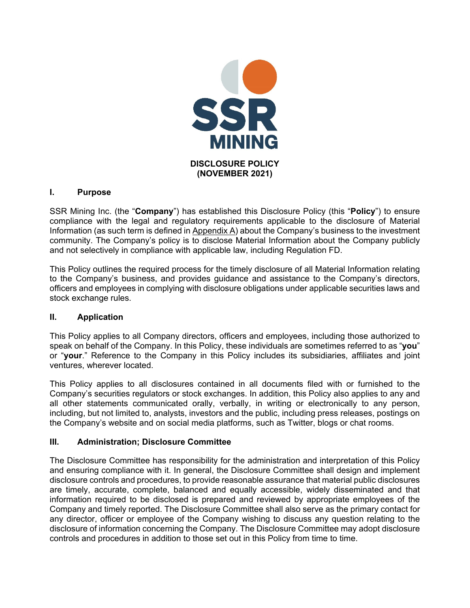

# **I. Purpose**

SSR Mining Inc. (the "**Company**") has established this Disclosure Policy (this "**Policy**") to ensure compliance with the legal and regulatory requirements applicable to the disclosure of Material Information (as such term is defined in Appendix A) about the Company's business to the investment community. The Company's policy is to disclose Material Information about the Company publicly and not selectively in compliance with applicable law, including Regulation FD.

This Policy outlines the required process for the timely disclosure of all Material Information relating to the Company's business, and provides guidance and assistance to the Company's directors, officers and employees in complying with disclosure obligations under applicable securities laws and stock exchange rules.

## **II. Application**

This Policy applies to all Company directors, officers and employees, including those authorized to speak on behalf of the Company. In this Policy, these individuals are sometimes referred to as "**you**" or "**your**." Reference to the Company in this Policy includes its subsidiaries, affiliates and joint ventures, wherever located.

This Policy applies to all disclosures contained in all documents filed with or furnished to the Company's securities regulators or stock exchanges. In addition, this Policy also applies to any and all other statements communicated orally, verbally, in writing or electronically to any person, including, but not limited to, analysts, investors and the public, including press releases, postings on the Company's website and on social media platforms, such as Twitter, blogs or chat rooms.

## **III. Administration; Disclosure Committee**

The Disclosure Committee has responsibility for the administration and interpretation of this Policy and ensuring compliance with it. In general, the Disclosure Committee shall design and implement disclosure controls and procedures, to provide reasonable assurance that material public disclosures are timely, accurate, complete, balanced and equally accessible, widely disseminated and that information required to be disclosed is prepared and reviewed by appropriate employees of the Company and timely reported. The Disclosure Committee shall also serve as the primary contact for any director, officer or employee of the Company wishing to discuss any question relating to the disclosure of information concerning the Company. The Disclosure Committee may adopt disclosure controls and procedures in addition to those set out in this Policy from time to time.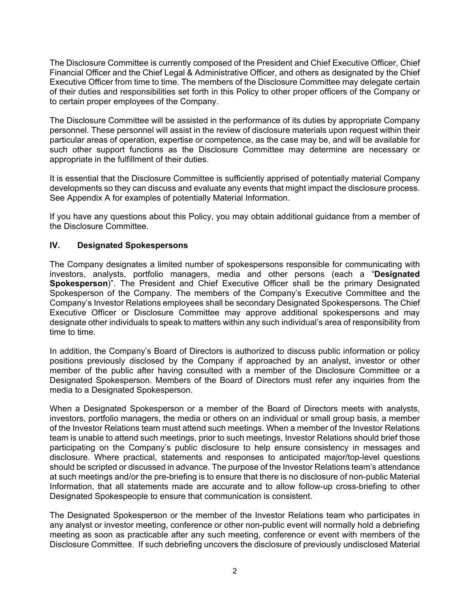The Disclosure Committee is currently composed of the President and Chief Executive Officer, Chief Financial Officer and the Chief Legal & Administrative Officer, and others as designated by the Chief Executive Officer from time to time. The members of the Disclosure Committee may delegate certain of their duties and responsibilities set forth in this Policy to other proper officers of the Company or to certain proper employees of the Company.

The Disclosure Committee will be assisted in the performance of its duties by appropriate Company personnel. These personnel will assist in the review of disclosure materials upon request within their particular areas of operation, expertise or competence, as the case may be, and will be available for such other support functions as the Disclosure Committee may determine are necessary or appropriate in the fulfillment of their duties.

It is essential that the Disclosure Committee is sufficiently apprised of potentially material Company developments so they can discuss and evaluate any events that might impact the disclosure process. See Appendix A for examples of potentially Material Information.

If you have any questions about this Policy, you may obtain additional guidance from a member of the Disclosure Committee.

## **IV. Designated Spokespersons**

The Company designates a limited number of spokespersons responsible for communicating with investors, analysts, portfolio managers, media and other persons (each a "**Designated Spokesperson**)". The President and Chief Executive Officer shall be the primary Designated Spokesperson of the Company. The members of the Company's Executive Committee and the Company's Investor Relations employees shall be secondary Designated Spokespersons. The Chief Executive Officer or Disclosure Committee may approve additional spokespersons and may designate other individuals to speak to matters within any such individual's area of responsibility from time to time.

In addition, the Company's Board of Directors is authorized to discuss public information or policy positions previously disclosed by the Company if approached by an analyst, investor or other member of the public after having consulted with a member of the Disclosure Committee or a Designated Spokesperson. Members of the Board of Directors must refer any inquiries from the media to a Designated Spokesperson.

When a Designated Spokesperson or a member of the Board of Directors meets with analysts, investors, portfolio managers, the media or others on an individual or small group basis, a member of the Investor Relations team must attend such meetings. When a member of the Investor Relations team is unable to attend such meetings, prior to such meetings, Investor Relations should brief those participating on the Company's public disclosure to help ensure consistency in messages and disclosure. Where practical, statements and responses to anticipated major/top-level questions should be scripted or discussed in advance. The purpose of the Investor Relations team's attendance at such meetings and/or the pre-briefing is to ensure that there is no disclosure of non-public Material Information, that all statements made are accurate and to allow follow-up cross-briefing to other Designated Spokespeople to ensure that communication is consistent.

The Designated Spokesperson or the member of the Investor Relations team who participates in any analyst or investor meeting, conference or other non-public event will normally hold a debriefing meeting as soon as practicable after any such meeting, conference or event with members of the Disclosure Committee. If such debriefing uncovers the disclosure of previously undisclosed Material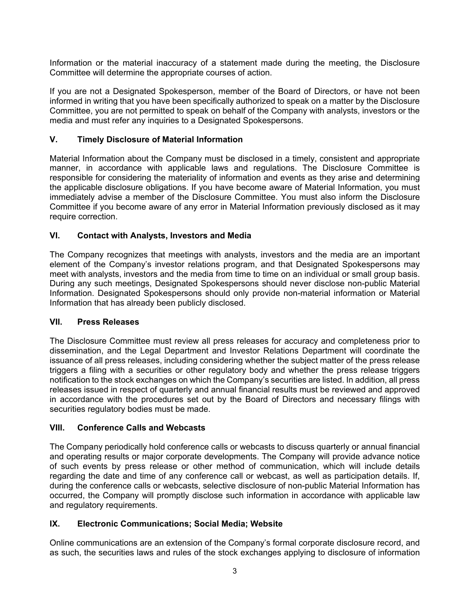Information or the material inaccuracy of a statement made during the meeting, the Disclosure Committee will determine the appropriate courses of action.

If you are not a Designated Spokesperson, member of the Board of Directors, or have not been informed in writing that you have been specifically authorized to speak on a matter by the Disclosure Committee, you are not permitted to speak on behalf of the Company with analysts, investors or the media and must refer any inquiries to a Designated Spokespersons.

# **V. Timely Disclosure of Material Information**

Material Information about the Company must be disclosed in a timely, consistent and appropriate manner, in accordance with applicable laws and regulations. The Disclosure Committee is responsible for considering the materiality of information and events as they arise and determining the applicable disclosure obligations. If you have become aware of Material Information, you must immediately advise a member of the Disclosure Committee. You must also inform the Disclosure Committee if you become aware of any error in Material Information previously disclosed as it may require correction.

## **VI. Contact with Analysts, Investors and Media**

The Company recognizes that meetings with analysts, investors and the media are an important element of the Company's investor relations program, and that Designated Spokespersons may meet with analysts, investors and the media from time to time on an individual or small group basis. During any such meetings, Designated Spokespersons should never disclose non-public Material Information. Designated Spokespersons should only provide non-material information or Material Information that has already been publicly disclosed.

## **VII. Press Releases**

The Disclosure Committee must review all press releases for accuracy and completeness prior to dissemination, and the Legal Department and Investor Relations Department will coordinate the issuance of all press releases, including considering whether the subject matter of the press release triggers a filing with a securities or other regulatory body and whether the press release triggers notification to the stock exchanges on which the Company's securities are listed. In addition, all press releases issued in respect of quarterly and annual financial results must be reviewed and approved in accordance with the procedures set out by the Board of Directors and necessary filings with securities regulatory bodies must be made.

## **VIII. Conference Calls and Webcasts**

The Company periodically hold conference calls or webcasts to discuss quarterly or annual financial and operating results or major corporate developments. The Company will provide advance notice of such events by press release or other method of communication, which will include details regarding the date and time of any conference call or webcast, as well as participation details. If, during the conference calls or webcasts, selective disclosure of non-public Material Information has occurred, the Company will promptly disclose such information in accordance with applicable law and regulatory requirements.

## **IX. Electronic Communications; Social Media; Website**

Online communications are an extension of the Company's formal corporate disclosure record, and as such, the securities laws and rules of the stock exchanges applying to disclosure of information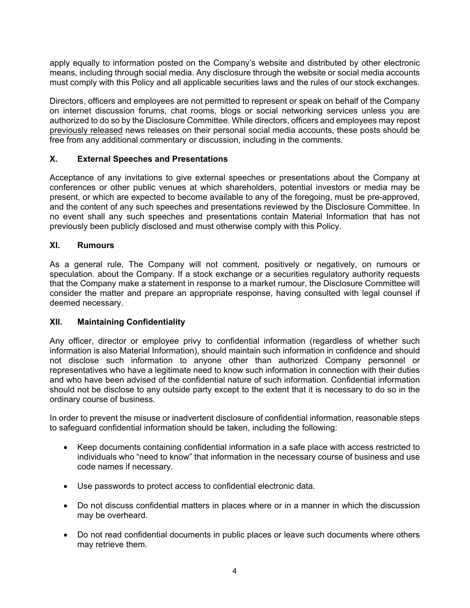apply equally to information posted on the Company's website and distributed by other electronic means, including through social media. Any disclosure through the website or social media accounts must comply with this Policy and all applicable securities laws and the rules of our stock exchanges.

Directors, officers and employees are not permitted to represent or speak on behalf of the Company on internet discussion forums, chat rooms, blogs or social networking services unless you are authorized to do so by the Disclosure Committee. While directors, officers and employees may repost previously released news releases on their personal social media accounts, these posts should be free from any additional commentary or discussion, including in the comments.

## **X. External Speeches and Presentations**

Acceptance of any invitations to give external speeches or presentations about the Company at conferences or other public venues at which shareholders, potential investors or media may be present, or which are expected to become available to any of the foregoing, must be pre-approved, and the content of any such speeches and presentations reviewed by the Disclosure Committee. In no event shall any such speeches and presentations contain Material Information that has not previously been publicly disclosed and must otherwise comply with this Policy.

### **XI. Rumours**

As a general rule, The Company will not comment, positively or negatively, on rumours or speculation. about the Company. If a stock exchange or a securities regulatory authority requests that the Company make a statement in response to a market rumour, the Disclosure Committee will consider the matter and prepare an appropriate response, having consulted with legal counsel if deemed necessary.

#### **XII. Maintaining Confidentiality**

Any officer, director or employee privy to confidential information (regardless of whether such information is also Material Information), should maintain such information in confidence and should not disclose such information to anyone other than authorized Company personnel or representatives who have a legitimate need to know such information in connection with their duties and who have been advised of the confidential nature of such information. Confidential information should not be disclose to any outside party except to the extent that it is necessary to do so in the ordinary course of business.

In order to prevent the misuse or inadvertent disclosure of confidential information, reasonable steps to safeguard confidential information should be taken, including the following:

- Keep documents containing confidential information in a safe place with access restricted to individuals who "need to know" that information in the necessary course of business and use code names if necessary.
- Use passwords to protect access to confidential electronic data.
- Do not discuss confidential matters in places where or in a manner in which the discussion may be overheard.
- Do not read confidential documents in public places or leave such documents where others may retrieve them.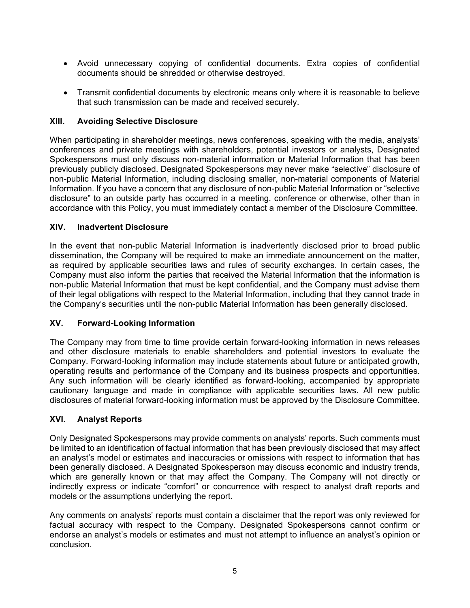- Avoid unnecessary copying of confidential documents. Extra copies of confidential documents should be shredded or otherwise destroyed.
- Transmit confidential documents by electronic means only where it is reasonable to believe that such transmission can be made and received securely.

## **XIII. Avoiding Selective Disclosure**

When participating in shareholder meetings, news conferences, speaking with the media, analysts' conferences and private meetings with shareholders, potential investors or analysts, Designated Spokespersons must only discuss non-material information or Material Information that has been previously publicly disclosed. Designated Spokespersons may never make "selective" disclosure of non-public Material Information, including disclosing smaller, non-material components of Material Information. If you have a concern that any disclosure of non-public Material Information or "selective disclosure" to an outside party has occurred in a meeting, conference or otherwise, other than in accordance with this Policy, you must immediately contact a member of the Disclosure Committee.

### **XIV. Inadvertent Disclosure**

In the event that non-public Material Information is inadvertently disclosed prior to broad public dissemination, the Company will be required to make an immediate announcement on the matter, as required by applicable securities laws and rules of security exchanges. In certain cases, the Company must also inform the parties that received the Material Information that the information is non-public Material Information that must be kept confidential, and the Company must advise them of their legal obligations with respect to the Material Information, including that they cannot trade in the Company's securities until the non-public Material Information has been generally disclosed.

## **XV. Forward-Looking Information**

The Company may from time to time provide certain forward-looking information in news releases and other disclosure materials to enable shareholders and potential investors to evaluate the Company. Forward-looking information may include statements about future or anticipated growth, operating results and performance of the Company and its business prospects and opportunities. Any such information will be clearly identified as forward-looking, accompanied by appropriate cautionary language and made in compliance with applicable securities laws. All new public disclosures of material forward-looking information must be approved by the Disclosure Committee.

#### **XVI. Analyst Reports**

Only Designated Spokespersons may provide comments on analysts' reports. Such comments must be limited to an identification of factual information that has been previously disclosed that may affect an analyst's model or estimates and inaccuracies or omissions with respect to information that has been generally disclosed. A Designated Spokesperson may discuss economic and industry trends, which are generally known or that may affect the Company. The Company will not directly or indirectly express or indicate "comfort" or concurrence with respect to analyst draft reports and models or the assumptions underlying the report.

Any comments on analysts' reports must contain a disclaimer that the report was only reviewed for factual accuracy with respect to the Company. Designated Spokespersons cannot confirm or endorse an analyst's models or estimates and must not attempt to influence an analyst's opinion or conclusion.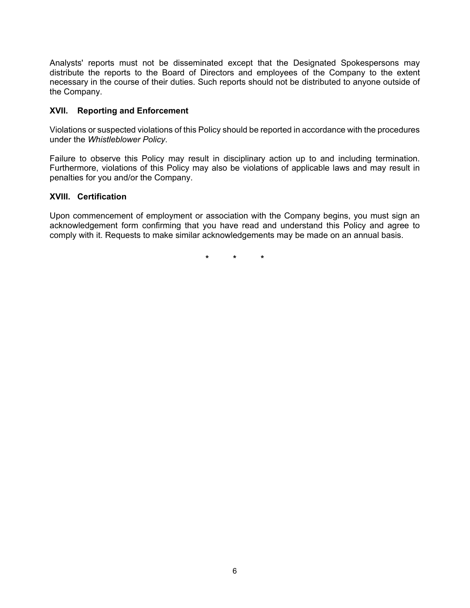Analysts' reports must not be disseminated except that the Designated Spokespersons may distribute the reports to the Board of Directors and employees of the Company to the extent necessary in the course of their duties. Such reports should not be distributed to anyone outside of the Company.

### **XVII. Reporting and Enforcement**

Violations or suspected violations of this Policy should be reported in accordance with the procedures under the *Whistleblower Policy*.

Failure to observe this Policy may result in disciplinary action up to and including termination. Furthermore, violations of this Policy may also be violations of applicable laws and may result in penalties for you and/or the Company.

#### **XVIII. Certification**

Upon commencement of employment or association with the Company begins, you must sign an acknowledgement form confirming that you have read and understand this Policy and agree to comply with it. Requests to make similar acknowledgements may be made on an annual basis.

**\* \* \***